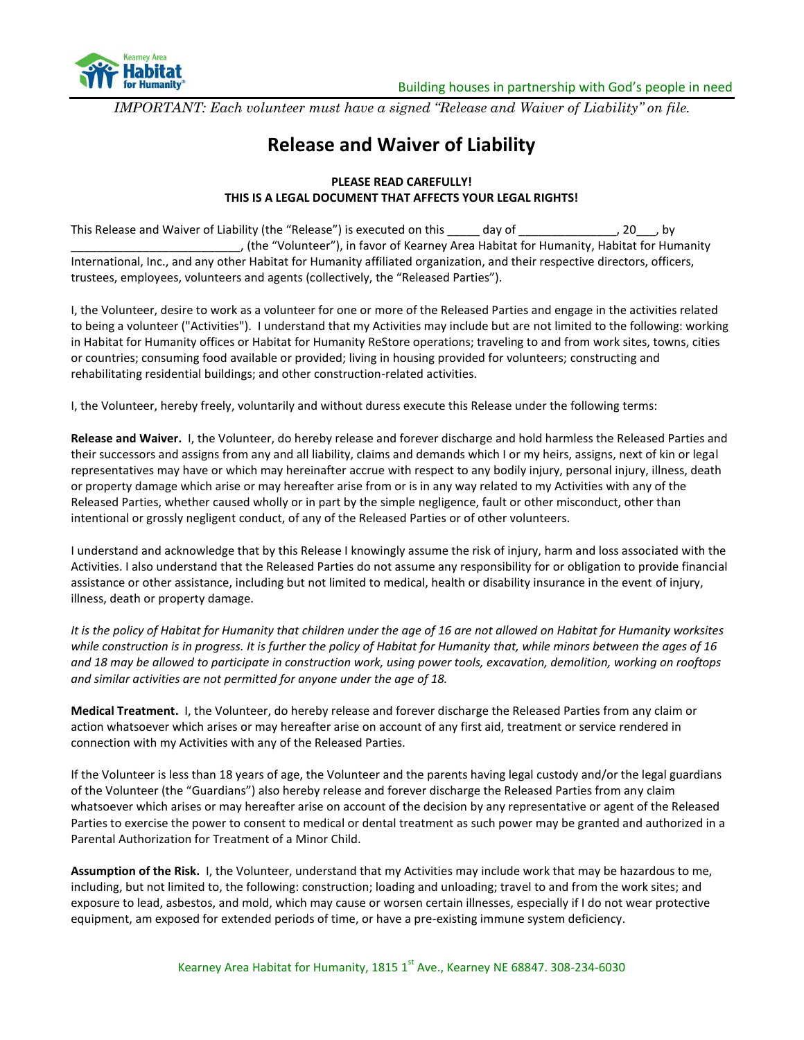

*IMPORTANT: Each volunteer must have a signed "Release and Waiver of Liability" on file.*

## **Release and Waiver of Liability**

## **PLEASE READ CAREFULLY! THIS IS A LEGAL DOCUMENT THAT AFFECTS YOUR LEGAL RIGHTS!**

This Release and Waiver of Liability (the "Release") is executed on this \_\_\_\_\_ day of \_\_\_\_\_\_\_\_\_\_\_\_\_, 20\_\_\_, by \_\_\_\_\_\_\_\_\_\_\_\_\_\_\_\_\_\_\_\_\_\_\_\_\_\_, (the "Volunteer"), in favor of Kearney Area Habitat for Humanity, Habitat for Humanity International, Inc., and any other Habitat for Humanity affiliated organization, and their respective directors, officers, trustees, employees, volunteers and agents (collectively, the "Released Parties").

I, the Volunteer, desire to work as a volunteer for one or more of the Released Parties and engage in the activities related to being a volunteer ("Activities"). I understand that my Activities may include but are not limited to the following: working in Habitat for Humanity offices or Habitat for Humanity ReStore operations; traveling to and from work sites, towns, cities or countries; consuming food available or provided; living in housing provided for volunteers; constructing and rehabilitating residential buildings; and other construction-related activities.

I, the Volunteer, hereby freely, voluntarily and without duress execute this Release under the following terms:

**Release and Waiver.** I, the Volunteer, do hereby release and forever discharge and hold harmless the Released Parties and their successors and assigns from any and all liability, claims and demands which I or my heirs, assigns, next of kin or legal representatives may have or which may hereinafter accrue with respect to any bodily injury, personal injury, illness, death or property damage which arise or may hereafter arise from or is in any way related to my Activities with any of the Released Parties, whether caused wholly or in part by the simple negligence, fault or other misconduct, other than intentional or grossly negligent conduct, of any of the Released Parties or of other volunteers.

I understand and acknowledge that by this Release I knowingly assume the risk of injury, harm and loss associated with the Activities. I also understand that the Released Parties do not assume any responsibility for or obligation to provide financial assistance or other assistance, including but not limited to medical, health or disability insurance in the event of injury, illness, death or property damage.

*It is the policy of Habitat for Humanity that children under the age of 16 are not allowed on Habitat for Humanity worksites while construction is in progress. It is further the policy of Habitat for Humanity that, while minors between the ages of 16 and 18 may be allowed to participate in construction work, using power tools, excavation, demolition, working on rooftops and similar activities are not permitted for anyone under the age of 18.*

**Medical Treatment.** I, the Volunteer, do hereby release and forever discharge the Released Parties from any claim or action whatsoever which arises or may hereafter arise on account of any first aid, treatment or service rendered in connection with my Activities with any of the Released Parties.

If the Volunteer is less than 18 years of age, the Volunteer and the parents having legal custody and/or the legal guardians of the Volunteer (the "Guardians") also hereby release and forever discharge the Released Parties from any claim whatsoever which arises or may hereafter arise on account of the decision by any representative or agent of the Released Parties to exercise the power to consent to medical or dental treatment as such power may be granted and authorized in a Parental Authorization for Treatment of a Minor Child.

**Assumption of the Risk.** I, the Volunteer, understand that my Activities may include work that may be hazardous to me, including, but not limited to, the following: construction; loading and unloading; travel to and from the work sites; and exposure to lead, asbestos, and mold, which may cause or worsen certain illnesses, especially if I do not wear protective equipment, am exposed for extended periods of time, or have a pre-existing immune system deficiency.